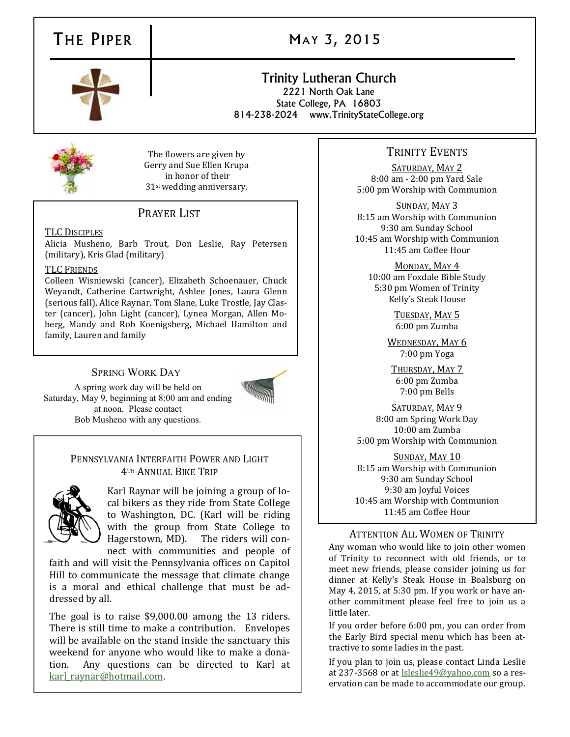## THE PIPER **MAY 3, 2015**

### Trinity Lutheran Church 2221 North Oak Lane

State College, PA 16803 814-238-2024 www.TrinityStateCollege.org



The flowers are given by Gerry and Sue Ellen Krupa in honor of their 31st wedding anniversary.

### PRAYER LIST

TLC DISCIPLES

Alicia Musheno, Barb Trout, Don Leslie, Ray Petersen (military), Kris Glad (military)

#### TLC FRIENDS

Colleen Wisniewski (cancer), Elizabeth Schoenauer, Chuck Weyandt, Catherine Cartwright, Ashlee Jones, Laura Glenn (serious fall), Alice Raynar, Tom Slane, Luke Trostle, Jay Claster (cancer), John Light (cancer), Lynea Morgan, Allen Moberg, Mandy and Rob Koenigsberg, Michael Hamilton and family, Lauren and family

#### SPRING WORK DAY

A spring work day will be held on Saturday, May 9, beginning at 8:00 am and ending at noon. Please contact Bob Musheno with any questions.



#### PENNSYLVANIA INTERFAITH POWER AND LIGHT 4TH ANNUAL BIKE TRIP



Karl Raynar will be joining a group of local bikers as they ride from State College to Washington, DC. (Karl will be riding with the group from State College to Hagerstown, MD). The riders will connect with communities and people of

faith and will visit the Pennsylvania offices on Capitol Hill to communicate the message that climate change is a moral and ethical challenge that must be addressed by all.

The goal is to raise \$9,000.00 among the 13 riders. There is still time to make a contribution. Envelopes will be available on the stand inside the sanctuary this weekend for anyone who would like to make a donation. Any questions can be directed to Karl at [karl\\_raynar@hotmail.com.](mailto:karl_raynar@hotmail.com)

#### TRINITY EVENTS

SATURDAY, MAY 2 8:00 am - 2:00 pm Yard Sale 5:00 pm Worship with Communion

SUNDAY, MAY 3 8:15 am Worship with Communion 9:30 am Sunday School 10:45 am Worship with Communion 11:45 am Coffee Hour

MONDAY, MAY 4 10:00 am Foxdale Bible Study 5:30 pm Women of Trinity Kelly's Steak House

> TUESDAY, MAY 5 6:00 pm Zumba

WEDNESDAY, MAY 6 7:00 pm Yoga

THURSDAY, MAY 7 6:00 pm Zumba 7:00 pm Bells

SATURDAY, MAY 9 8:00 am Spring Work Day 10:00 am Zumba 5:00 pm Worship with Communion

SUNDAY, MAY 10 8:15 am Worship with Communion 9:30 am Sunday School 9:30 am Joyful Voices 10:45 am Worship with Communion 11:45 am Coffee Hour

#### ATTENTION ALL WOMEN OF TRINITY

Any woman who would like to join other women of Trinity to reconnect with old friends, or to meet new friends, please consider joining us for dinner at Kelly's Steak House in Boalsburg on May 4, 2015, at 5:30 pm. If you work or have another commitment please feel free to join us a little later.

If you order before 6:00 pm, you can order from the Early Bird special menu which has been attractive to some ladies in the past.

If you plan to join us, please contact Linda Leslie at 237-3568 or at [lsleslie49@yahoo.com](mailto:lsleslie49@yahoo.com) so a reservation can be made to accommodate our group.